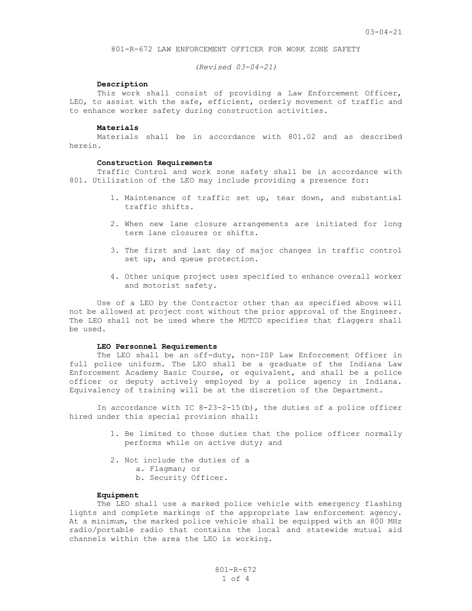801-R-672 LAW ENFORCEMENT OFFICER FOR WORK ZONE SAFETY

*(Revised 03-04-21)*

## **Description**

This work shall consist of providing a Law Enforcement Officer, LEO, to assist with the safe, efficient, orderly movement of traffic and to enhance worker safety during construction activities.

#### **Materials**

Materials shall be in accordance with 801.02 and as described herein.

#### **Construction Requirements**

Traffic Control and work zone safety shall be in accordance with 801. Utilization of the LEO may include providing a presence for:

- 1. Maintenance of traffic set up, tear down, and substantial traffic shifts.
- 2. When new lane closure arrangements are initiated for long term lane closures or shifts.
- 3. The first and last day of major changes in traffic control set up, and queue protection.
- 4. Other unique project uses specified to enhance overall worker and motorist safety.

Use of a LEO by the Contractor other than as specified above will not be allowed at project cost without the prior approval of the Engineer. The LEO shall not be used where the MUTCD specifies that flaggers shall be used.

### **LEO Personnel Requirements**

The LEO shall be an off-duty, non-ISP Law Enforcement Officer in full police uniform. The LEO shall be a graduate of the Indiana Law Enforcement Academy Basic Course, or equivalent, and shall be a police officer or deputy actively employed by a police agency in Indiana. Equivalency of training will be at the discretion of the Department.

In accordance with IC  $8-23-2-15(b)$ , the duties of a police officer hired under this special provision shall:

- 1. Be limited to those duties that the police officer normally performs while on active duty; and
- 2. Not include the duties of a
	- a. Flagman; or
	- b. Security Officer.

## **Equipment**

The LEO shall use a marked police vehicle with emergency flashing lights and complete markings of the appropriate law enforcement agency. At a minimum, the marked police vehicle shall be equipped with an 800 MHz radio/portable radio that contains the local and statewide mutual aid channels within the area the LEO is working.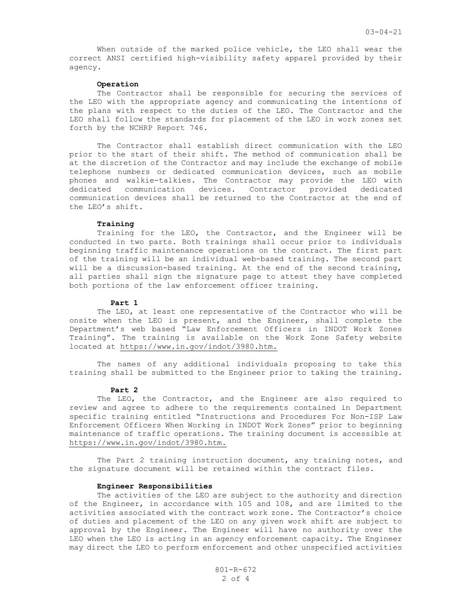When outside of the marked police vehicle, the LEO shall wear the correct ANSI certified high-visibility safety apparel provided by their agency.

# **Operation**

The Contractor shall be responsible for securing the services of the LEO with the appropriate agency and communicating the intentions of the plans with respect to the duties of the LEO. The Contractor and the LEO shall follow the standards for placement of the LEO in work zones set forth by the NCHRP Report 746.

The Contractor shall establish direct communication with the LEO prior to the start of their shift. The method of communication shall be at the discretion of the Contractor and may include the exchange of mobile telephone numbers or dedicated communication devices, such as mobile phones and walkie-talkies. The Contractor may provide the LEO with dedicated communication devices. Contractor provided dedicated communication devices shall be returned to the Contractor at the end of the LEO's shift.

## **Training**

Training for the LEO, the Contractor, and the Engineer will be conducted in two parts. Both trainings shall occur prior to individuals beginning traffic maintenance operations on the contract. The first part of the training will be an individual web-based training. The second part will be a discussion-based training. At the end of the second training, all parties shall sign the signature page to attest they have completed both portions of the law enforcement officer training.

### **Part 1**

The LEO, at least one representative of the Contractor who will be onsite when the LEO is present, and the Engineer, shall complete the Department's web based "Law Enforcement Officers in INDOT Work Zones Training". The training is available on the Work Zone Safety website located at [https://www.in.gov/indot/3980.htm.](https://www.in.gov/indot/3980.htm)

The names of any additional individuals proposing to take this training shall be submitted to the Engineer prior to taking the training.

## **Part 2**

The LEO, the Contractor, and the Engineer are also required to review and agree to adhere to the requirements contained in Department specific training entitled "Instructions and Procedures For Non-ISP Law Enforcement Officers When Working in INDOT Work Zones" prior to beginning maintenance of traffic operations. The training document is accessible at [https://www.in.gov/indot/3980.htm.](https://www.in.gov/indot/3980.htm)

The Part 2 training instruction document, any training notes, and the signature document will be retained within the contract files.

## **Engineer Responsibilities**

The activities of the LEO are subject to the authority and direction of the Engineer, in accordance with 105 and 108, and are limited to the activities associated with the contract work zone. The Contractor's choice of duties and placement of the LEO on any given work shift are subject to approval by the Engineer. The Engineer will have no authority over the LEO when the LEO is acting in an agency enforcement capacity. The Engineer may direct the LEO to perform enforcement and other unspecified activities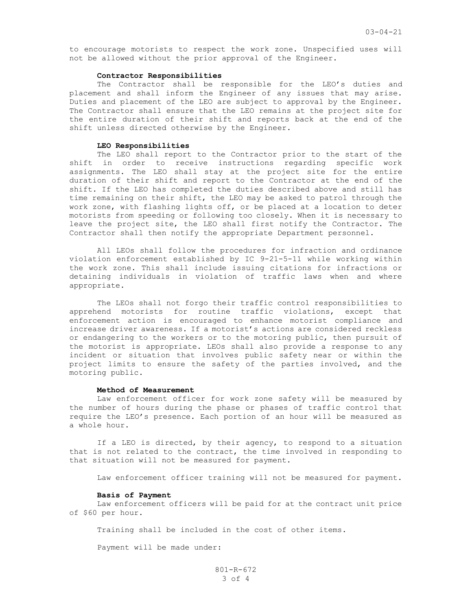to encourage motorists to respect the work zone. Unspecified uses will not be allowed without the prior approval of the Engineer.

### **Contractor Responsibilities**

The Contractor shall be responsible for the LEO's duties and placement and shall inform the Engineer of any issues that may arise. Duties and placement of the LEO are subject to approval by the Engineer. The Contractor shall ensure that the LEO remains at the project site for the entire duration of their shift and reports back at the end of the shift unless directed otherwise by the Engineer.

### **LEO Responsibilities**

The LEO shall report to the Contractor prior to the start of the shift in order to receive instructions regarding specific work assignments. The LEO shall stay at the project site for the entire duration of their shift and report to the Contractor at the end of the shift. If the LEO has completed the duties described above and still has time remaining on their shift, the LEO may be asked to patrol through the work zone, with flashing lights off, or be placed at a location to deter motorists from speeding or following too closely. When it is necessary to leave the project site, the LEO shall first notify the Contractor. The Contractor shall then notify the appropriate Department personnel.

All LEOs shall follow the procedures for infraction and ordinance violation enforcement established by IC 9-21-5-11 while working within the work zone. This shall include issuing citations for infractions or detaining individuals in violation of traffic laws when and where appropriate.

The LEOs shall not forgo their traffic control responsibilities to apprehend motorists for routine traffic violations, except that enforcement action is encouraged to enhance motorist compliance and increase driver awareness. If a motorist's actions are considered reckless or endangering to the workers or to the motoring public, then pursuit of the motorist is appropriate. LEOs shall also provide a response to any incident or situation that involves public safety near or within the project limits to ensure the safety of the parties involved, and the motoring public.

# **Method of Measurement**

Law enforcement officer for work zone safety will be measured by the number of hours during the phase or phases of traffic control that require the LEO's presence. Each portion of an hour will be measured as a whole hour.

If a LEO is directed, by their agency, to respond to a situation that is not related to the contract, the time involved in responding to that situation will not be measured for payment.

Law enforcement officer training will not be measured for payment.

### **Basis of Payment**

Law enforcement officers will be paid for at the contract unit price of \$60 per hour.

Training shall be included in the cost of other items.

Payment will be made under: